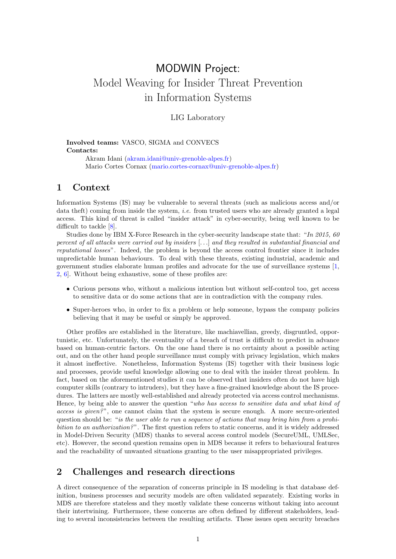# MODWIN Project: Model Weaving for Insider Threat Prevention in Information Systems

#### LIG Laboratory

#### Involved teams: VASCO, SIGMA and CONVECS Contacts:

Akram Idani [\(akram.idani@univ-grenoble-alpes.fr\)](mailto:akram.idani@univ-grenoble-alpes.fr) Mario Cortes Cornax [\(mario.cortes-cornax@univ-grenoble-alpes.fr\)](mailto:mario.cortes-cornax@univ-grenoble-alpes.fr)

#### 1 Context

Information Systems (IS) may be vulnerable to several threats (such as malicious access and/or data theft) coming from inside the system, *i.e.* from trusted users who are already granted a legal access. This kind of threat is called "insider attack" in cyber-security, being well known to be difficult to tackle [\[8\]](#page-2-0).

Studies done by IBM X-Force Research in the cyber-security landscape state that: "In 2015, 60 percent of all attacks were carried out by insiders [. . .] and they resulted in substantial financial and reputational losses". Indeed, the problem is beyond the access control frontier since it includes unpredictable human behaviours. To deal with these threats, existing industrial, academic and government studies elaborate human profiles and advocate for the use of surveillance systems [\[1,](#page-2-1) [2,](#page-2-2) [6\]](#page-2-3). Without being exhaustive, some of these profiles are:

- Curious persons who, without a malicious intention but without self-control too, get access to sensitive data or do some actions that are in contradiction with the company rules.
- Super-heroes who, in order to fix a problem or help someone, bypass the company policies believing that it may be useful or simply be approved.

Other profiles are established in the literature, like machiavellian, greedy, disgruntled, opportunistic, etc. Unfortunately, the eventuality of a breach of trust is difficult to predict in advance based on human-centric factors. On the one hand there is no certainty about a possible acting out, and on the other hand people surveillance must comply with privacy legislation, which makes it almost ineffective. Nonetheless, Information Systems (IS) together with their business logic and processes, provide useful knowledge allowing one to deal with the insider threat problem. In fact, based on the aforementioned studies it can be observed that insiders often do not have high computer skills (contrary to intruders), but they have a fine-grained knowledge about the IS procedures. The latters are mostly well-established and already protected via access control mechanisms. Hence, by being able to answer the question "who has access to sensitive data and what kind of access is given?", one cannot claim that the system is secure enough. A more secure-oriented question should be: "is the user able to run a sequence of actions that may bring him from a prohi $bition to an authorization?$ ". The first question refers to static concerns, and it is widely addressed in Model-Driven Security (MDS) thanks to several access control models (SecureUML, UMLSec, etc). However, the second question remains open in MDS because it refers to behavioural features and the reachability of unwanted situations granting to the user misappropriated privileges.

### 2 Challenges and research directions

A direct consequence of the separation of concerns principle in IS modeling is that database definition, business processes and security models are often validated separately. Existing works in MDS are therefore stateless and they mostly validate these concerns without taking into account their intertwining. Furthermore, these concerns are often defined by different stakeholders, leading to several inconsistencies between the resulting artifacts. These issues open security breaches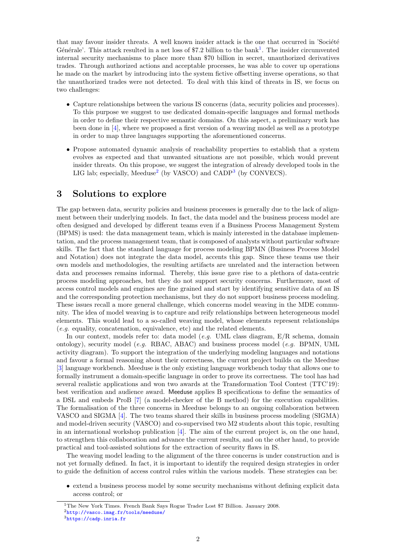that may favour insider threats. A well known insider attack is the one that occurred in 'Société Générale'. This attack resulted in a net loss of \$7.2 billion to the bank<sup>[1](#page-1-0)</sup>. The insider circumvented internal security mechanisms to place more than \$70 billion in secret, unauthorized derivatives trades. Through authorized actions and acceptable processes, he was able to cover up operations he made on the market by introducing into the system fictive offsetting inverse operations, so that the unauthorized trades were not detected. To deal with this kind of threats in IS, we focus on two challenges:

- Capture relationships between the various IS concerns (data, security policies and processes). To this purpose we suggest to use dedicated domain-specific languages and formal methods in order to define their respective semantic domains. On this aspect, a preliminary work has been done in [\[4\]](#page-2-4), where we proposed a first version of a weaving model as well as a prototype in order to map three languages supporting the aforementioned concerns.
- Propose automated dynamic analysis of reachability properties to establish that a system evolves as expected and that unwanted situations are not possible, which would prevent insider threats. On this propose, we suggest the integration of already developed tools in the LIG lab; especially, Meeduse<sup>[2](#page-1-1)</sup> (by VASCO) and CADP<sup>[3](#page-1-2)</sup> (by CONVECS).

## 3 Solutions to explore

The gap between data, security policies and business processes is generally due to the lack of alignment between their underlying models. In fact, the data model and the business process model are often designed and developed by different teams even if a Business Process Management System (BPMS) is used: the data management team, which is mainly interested in the database implementation, and the process management team, that is composed of analysts without particular software skills. The fact that the standard language for process modeling BPMN (Business Process Model and Notation) does not integrate the data model, accents this gap. Since these teams use their own models and methodologies, the resulting artifacts are unrelated and the interaction between data and processes remains informal. Thereby, this issue gave rise to a plethora of data-centric process modeling approaches, but they do not support security concerns. Furthermore, most of access control models and engines are fine grained and start by identifying sensitive data of an IS and the corresponding protection mechanisms, but they do not support business process modeling. These issues recall a more general challenge, which concerns model weaving in the MDE community. The idea of model weaving is to capture and reify relationships between heterogeneous model elements. This would lead to a so-called weaving model, whose elements represent relationships (e.g. equality, concatenation, equivalence, etc) and the related elements.

In our context, models refer to: data model  $(e.g. \text{ UML class diagram}, E/R \text{ schema}, \text{domain})$ ontology), security model (e.g. RBAC, ABAC) and business process model (e.g. BPMN, UML activity diagram). To support the integration of the underlying modeling languages and notations and favour a formal reasoning about their correctness, the current project builds on the Meeduse [\[3\]](#page-2-5) language workbench. Meeduse is the only existing language workbench today that allows one to formally instrument a domain-specific language in order to prove its correctness. The tool has had several realistic applications and won two awards at the Transformation Tool Contest (TTC'19): best verification and audience award. Meeduse applies B specifications to define the semantics of a DSL and embeds ProB [\[7\]](#page-2-6) (a model-checker of the B method) for the execution capabilities. The formalisation of the three concerns in Meeduse belongs to an ongoing collaboration between VASCO and SIGMA [\[4\]](#page-2-4). The two teams shared their skills in business process modeling (SIGMA) and model-driven security (VASCO) and co-supervised two M2 students about this topic, resulting in an international workshop publication [\[4\]](#page-2-4). The aim of the current project is, on the one hand, to strengthen this collaboration and advance the current results, and on the other hand, to provide practical and tool-assisted solutions for the extraction of security flaws in IS.

The weaving model leading to the alignment of the three concerns is under construction and is not yet formally defined. In fact, it is important to identify the required design strategies in order to guide the definition of access control rules within the various models. These strategies can be:

• extend a business process model by some security mechanisms without defining explicit data access control; or

<span id="page-1-1"></span><span id="page-1-0"></span><sup>&</sup>lt;sup>1</sup>The New York Times. French Bank Says Rogue Trader Lost \$7 Billion. January 2008. <sup>2</sup><http://vasco.imag.fr/tools/meeduse/>

<span id="page-1-2"></span><sup>3</sup><https://cadp.inria.fr>